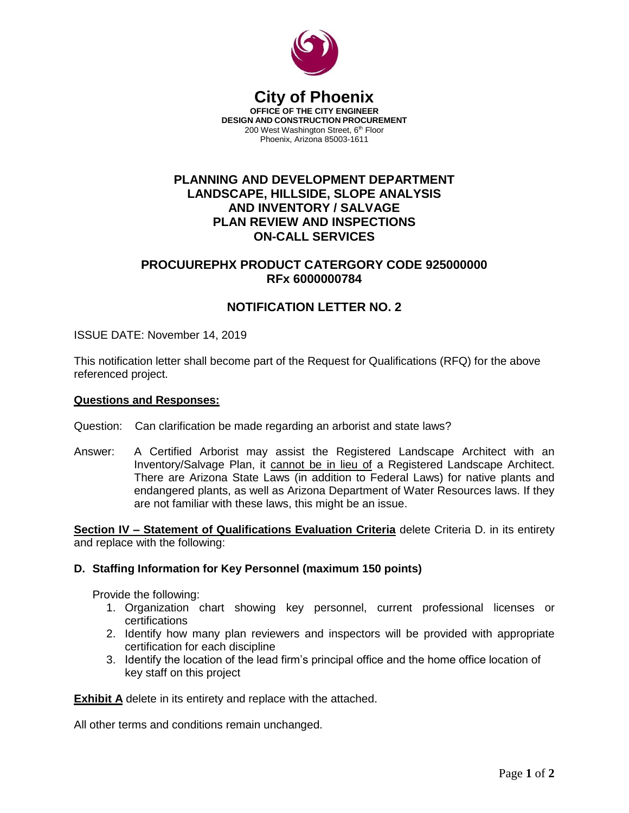

#### **City of Phoenix OFFICE OF THE CITY ENGINEER DESIGN AND CONSTRUCTION PROCUREMENT** 200 West Washington Street, 6<sup>th</sup> Floor Phoenix, Arizona 85003-1611

# **PLANNING AND DEVELOPMENT DEPARTMENT LANDSCAPE, HILLSIDE, SLOPE ANALYSIS AND INVENTORY / SALVAGE PLAN REVIEW AND INSPECTIONS ON-CALL SERVICES**

# **PROCUUREPHX PRODUCT CATERGORY CODE 925000000 RFx 6000000784**

# **NOTIFICATION LETTER NO. 2**

ISSUE DATE: November 14, 2019

This notification letter shall become part of the Request for Qualifications (RFQ) for the above referenced project.

### **Questions and Responses:**

- Question: Can clarification be made regarding an arborist and state laws?
- Answer: A Certified Arborist may assist the Registered Landscape Architect with an Inventory/Salvage Plan, it cannot be in lieu of a Registered Landscape Architect. There are Arizona State Laws (in addition to Federal Laws) for native plants and endangered plants, as well as Arizona Department of Water Resources laws. If they are not familiar with these laws, this might be an issue.

**Section IV – Statement of Qualifications Evaluation Criteria** delete Criteria D. in its entirety and replace with the following:

### **D. Staffing Information for Key Personnel (maximum 150 points)**

Provide the following:

- 1. Organization chart showing key personnel, current professional licenses or certifications
- 2. Identify how many plan reviewers and inspectors will be provided with appropriate certification for each discipline
- 3. Identify the location of the lead firm's principal office and the home office location of key staff on this project

**Exhibit A** delete in its entirety and replace with the attached.

All other terms and conditions remain unchanged.